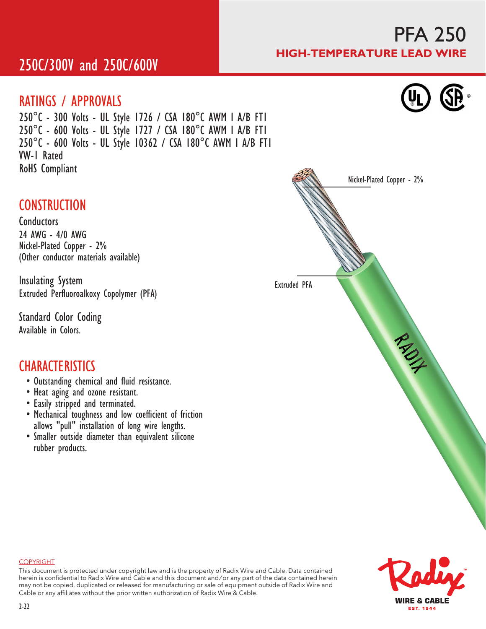### 250C/300V and 250C/600V

#### RATINGS / APPROVALS

250°C - 300 Volts - UL Style 1726 / CSA 180°C AWM I A/B FT1 250°C - 600 Volts - UL Style 1727 / CSA 180°C AWM I A/B FT1 250°C - 600 Volts - UL Style 10362 / CSA 180°C AWM I A/B FT1 VW-1 Rated RoHS Compliant

### **CONSTRUCTION**

**Conductors** 24 AWG - 4/0 AWG Nickel-Plated Copper - 2% (Other conductor materials available)

Insulating System Extruded Perfluoroalkoxy Copolymer (PFA)

Standard Color Coding Available in Colors.

#### **CHARACTERISTICS**

- Outstanding chemical and fluid resistance.
- Heat aging and ozone resistant.
- Easily stripped and terminated.
- Mechanical toughness and low coefficient of friction allows "pull" installation of long wire lengths.
- Smaller outside diameter than equivalent silicone rubber products.





#### COPYRIGHT

This document is protected under copyright law and is the property of Radix Wire and Cable. Data contained herein is confidential to Radix Wire and Cable and this document and / or any part of the data contained herein may not be copied, duplicated or released for manufacturing or sale of equipment outside of Radix Wire and Cable or any affiliates without the prior written authorization of Radix Wire & Cable.

# PFA 250 HIGH-TEMPERATURE LEAD WIRE

®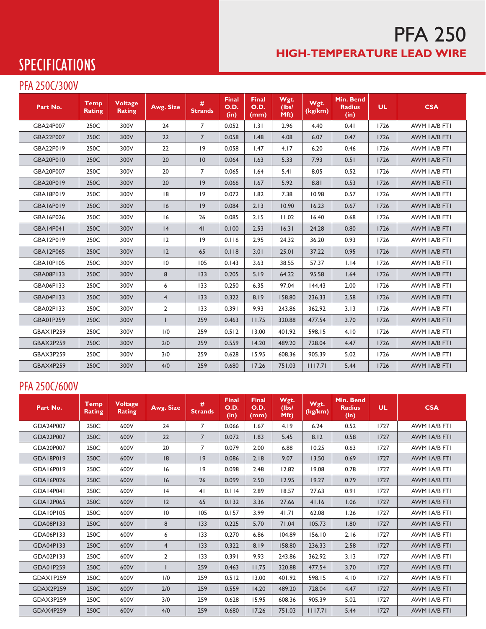### PFA 250 HIGH-TEMPERATURE LEAD WIRE

# **SPECIFICATIONS**

#### PFA 250C/300V

| Part No.         | <b>Temp</b><br><b>Rating</b> | <b>Voltage</b><br><b>Rating</b> | Awg. Size       | #<br><b>Strands</b> | <b>Final</b><br>O.D.<br>(in) | <b>Final</b><br><b>O.D.</b><br>(mm) | Wgt.<br>(IbsI)<br>Mft) | Wgt.<br>(kg/km) | Min. Bend<br><b>Radius</b><br>(in) | <b>UL</b> | <b>CSA</b>    |
|------------------|------------------------------|---------------------------------|-----------------|---------------------|------------------------------|-------------------------------------|------------------------|-----------------|------------------------------------|-----------|---------------|
| GBA24P007        | 250C                         | 300V                            | 24              | $\overline{7}$      | 0.052                        | 1.31                                | 2.96                   | 4.40            | 0.41                               | 1726      | AWM I A/B FTI |
| GBA22P007        | 250C                         | 300V                            | 22              | $\overline{7}$      | 0.058                        | 1.48                                | 4.08                   | 6.07            | 0.47                               | 1726      | AWM I A/B FTI |
| GBA22P019        | 250C                         | 300V                            | 22              | 9                   | 0.058                        | 1.47                                | 4.17                   | 6.20            | 0.46                               | 1726      | AWM I A/B FTI |
| GBA20P010        | 250C                         | 300V                            | 20              | $ 0\rangle$         | 0.064                        | 1.63                                | 5.33                   | 7.93            | 0.51                               | 1726      | AWM I A/B FTI |
| GBA20P007        | 250C                         | 300V                            | 20              | $\overline{7}$      | 0.065                        | 1.64                                | 5.41                   | 8.05            | 0.52                               | 1726      | AWM I A/B FTI |
| GBA20P019        | 250C                         | 300V                            | 20              | 9                   | 0.066                        | 1.67                                | 5.92                   | 8.81            | 0.53                               | 1726      | AWM I A/B FTI |
| GBA18P019        | 250C                         | 300V                            | 8               | 9                   | 0.072                        | 1.82                                | 7.38                   | 10.98           | 0.57                               | 1726      | AWM I A/B FTI |
| GBA16P019        | 250C                         | 300V                            | 16              | 9                   | 0.084                        | 2.13                                | 10.90                  | 16.23           | 0.67                               | 1726      | AWM I A/B FTI |
| GBA16P026        | 250C                         | 300V                            | 16              | 26                  | 0.085                        | 2.15                                | 11.02                  | 16.40           | 0.68                               | 1726      | AWM I A/B FTI |
| <b>GBA14P041</b> | 250C                         | 300V                            | 4               | 41                  | 0.100                        | 2.53                                | 16.31                  | 24.28           | 0.80                               | 1726      | AWM I A/B FTI |
| GBA12P019        | 250C                         | 300V                            | 12              | 9                   | 0.116                        | 2.95                                | 24.32                  | 36.20           | 0.93                               | 1726      | AWM I A/B FTI |
| GBA12P065        | 250C                         | 300V                            | 12              | 65                  | 0.118                        | 3.01                                | 25.01                  | 37.22           | 0.95                               | 1726      | AWM I A/B FTI |
| GBA10P105        | 250C                         | 300V                            | $\overline{10}$ | 105                 | 0.143                        | 3.63                                | 38.55                  | 57.37           | 1.14                               | 1726      | AWM I A/B FTI |
| <b>GBA08P133</b> | 250C                         | 300V                            | 8               | 133                 | 0.205                        | 5.19                                | 64.22                  | 95.58           | 1.64                               | 1726      | AWM I A/B FTI |
| GBA06P133        | 250C                         | 300V                            | 6               | 133                 | 0.250                        | 6.35                                | 97.04                  | 144.43          | 2.00                               | 1726      | AWM I A/B FTI |
| GBA04P133        | 250C                         | 300V                            | $\overline{4}$  | 133                 | 0.322                        | 8.19                                | 158.80                 | 236.33          | 2.58                               | 1726      | AWM I A/B FTI |
| GBA02P133        | 250C                         | 300V                            | $\overline{2}$  | 133                 | 0.391                        | 9.93                                | 243.86                 | 362.92          | 3.13                               | 1726      | AWM I A/B FTI |
| GBA01P259        | 250C                         | 300V                            | $\mathbf{I}$    | 259                 | 0.463                        | 11.75                               | 320.88                 | 477.54          | 3.70                               | 1726      | AWM I A/B FTI |
| GBAX1P259        | 250C                         | 300V                            | 1/0             | 259                 | 0.512                        | 13.00                               | 401.92                 | 598.15          | 4.10                               | 1726      | AWM I A/B FTI |
| <b>GBAX2P259</b> | 250C                         | 300V                            | 2/0             | 259                 | 0.559                        | 14.20                               | 489.20                 | 728.04          | 4.47                               | 1726      | AWM I A/B FTI |
| GBAX3P259        | 250C                         | 300V                            | 3/0             | 259                 | 0.628                        | 15.95                               | 608.36                 | 905.39          | 5.02                               | 1726      | AWM I A/B FTI |
| <b>GBAX4P259</b> | 250C                         | 300V                            | 4/0             | 259                 | 0.680                        | 17.26                               | 751.03                 | 1117.71         | 5.44                               | 1726      | AWM I A/B FTI |

#### PFA 250C/600V

| Part No.         | <b>Temp</b><br><b>Rating</b> | <b>Voltage</b><br><b>Rating</b> | Awg. Size       | #<br><b>Strands</b> | <b>Final</b><br>O.D.<br>(in) | <b>Final</b><br>O.D.<br>(mm) | Wgt.<br>(IbsI)<br>Mft) | Wgt.<br>(kg/km) | Min. Bend<br><b>Radius</b><br>(in) | <b>UL</b> | <b>CSA</b>    |
|------------------|------------------------------|---------------------------------|-----------------|---------------------|------------------------------|------------------------------|------------------------|-----------------|------------------------------------|-----------|---------------|
| GDA24P007        | 250C                         | 600V                            | 24              | 7                   | 0.066                        | 1.67                         | 4.19                   | 6.24            | 0.52                               | 1727      | AWM I A/B FTI |
| GDA22P007        | 250C                         | 600V                            | 22              | $\overline{7}$      | 0.072                        | 1.83                         | 5.45                   | 8.12            | 0.58                               | 1727      | AWM I A/B FTI |
| GDA20P007        | 250C                         | 600V                            | 20              | 7                   | 0.079                        | 2.00                         | 6.88                   | 10.25           | 0.63                               | 1727      | AWM I A/B FTI |
| GDA18P019        | 250C                         | 600V                            | 8               | 9                   | 0.086                        | 2.18                         | 9.07                   | 13.50           | 0.69                               | 1727      | AWM I A/B FTI |
| GDA16P019        | 250C                         | 600V                            | 16              | 9                   | 0.098                        | 2.48                         | 12.82                  | 19.08           | 0.78                               | 1727      | AWM I A/B FTI |
| GDA16P026        | 250C                         | 600V                            | 6               | 26                  | 0.099                        | 2.50                         | 12.95                  | 19.27           | 0.79                               | 1727      | AWM I A/B FTI |
| <b>GDA14P041</b> | 250C                         | 600V                            | 4               | 41                  | 0.114                        | 2.89                         | 18.57                  | 27.63           | 0.91                               | 1727      | AWM I A/B FTI |
| GDA12P065        | 250C                         | 600V                            | 2               | 65                  | 0.132                        | 3.36                         | 27.66                  | 41.16           | 1.06                               | 1727      | AWM I A/B FTI |
| GDA10P105        | 250C                         | 600V                            | $\overline{10}$ | 105                 | 0.157                        | 3.99                         | 41.71                  | 62.08           | 1.26                               | 1727      | AWM I A/B FTI |
| GDA08P133        | 250C                         | 600V                            | 8               | 133                 | 0.225                        | 5.70                         | 71.04                  | 105.73          | 1.80                               | 1727      | AWM I A/B FTI |
| GDA06P133        | 250C                         | 600V                            | 6               | 133                 | 0.270                        | 6.86                         | 104.89                 | 156.10          | 2.16                               | 1727      | AWM I A/B FTI |
| GDA04P133        | 250C                         | 600V                            | $\overline{4}$  | 133                 | 0.322                        | 8.19                         | 158.80                 | 236.33          | 2.58                               | 1727      | AWM I A/B FTI |
| GDA02P133        | 250C                         | 600V                            | $\overline{2}$  | 133                 | 0.391                        | 9.93                         | 243.86                 | 362.92          | 3.13                               | 1727      | AWM I A/B FTI |
| GDA01P259        | 250C                         | 600V                            |                 | 259                 | 0.463                        | 11.75                        | 320.88                 | 477.54          | 3.70                               | 1727      | AWM I A/B FTI |
| GDAX1P259        | 250C                         | 600V                            | 1/0             | 259                 | 0.512                        | 13.00                        | 401.92                 | 598.15          | 4.10                               | 1727      | AWM I A/B FTI |
| GDAX2P259        | 250C                         | 600V                            | 2/0             | 259                 | 0.559                        | 14.20                        | 489.20                 | 728.04          | 4.47                               | 1727      | AWM I A/B FTI |
| GDAX3P259        | 250C                         | 600V                            | 3/0             | 259                 | 0.628                        | 15.95                        | 608.36                 | 905.39          | 5.02                               | 1727      | AWM I A/B FTI |
| GDAX4P259        | 250C                         | 600V                            | 4/0             | 259                 | 0.680                        | 17.26                        | 751.03                 | 1117.71         | 5.44                               | 1727      | AWM I A/B FTI |